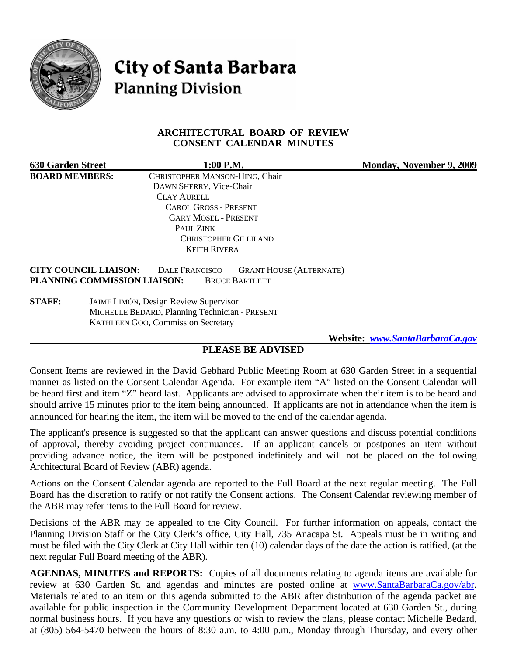

City of Santa Barbara **Planning Division** 

## **ARCHITECTURAL BOARD OF REVIEW CONSENT CALENDAR MINUTES**

| <b>630 Garden Street</b>     | 1:00 P.M.                      |                                | <b>Monday, November 9, 2009</b> |
|------------------------------|--------------------------------|--------------------------------|---------------------------------|
| <b>BOARD MEMBERS:</b>        | CHRISTOPHER MANSON-HING, Chair |                                |                                 |
|                              | DAWN SHERRY, Vice-Chair        |                                |                                 |
|                              | <b>CLAY AURELL</b>             |                                |                                 |
|                              | <b>CAROL GROSS - PRESENT</b>   |                                |                                 |
|                              | <b>GARY MOSEL - PRESENT</b>    |                                |                                 |
|                              | PAUL ZINK                      |                                |                                 |
|                              | <b>CHRISTOPHER GILLILAND</b>   |                                |                                 |
|                              | <b>KEITH RIVERA</b>            |                                |                                 |
| <b>CITY COUNCIL LIAISON:</b> | <b>DALE FRANCISCO</b>          | <b>GRANT HOUSE (ALTERNATE)</b> |                                 |
| PLANNING COMMISSION LIAISON: | <b>BRUCE BARTLETT</b>          |                                |                                 |

**STAFF:** JAIME LIMÓN, Design Review Supervisor MICHELLE BEDARD, Planning Technician - PRESENT KATHLEEN GOO, Commission Secretary

 **Website:** *[www.SantaBarbaraCa.gov](http://www.santabarbaraca.gov/)*

# **PLEASE BE ADVISED**

Consent Items are reviewed in the David Gebhard Public Meeting Room at 630 Garden Street in a sequential manner as listed on the Consent Calendar Agenda. For example item "A" listed on the Consent Calendar will be heard first and item "Z" heard last. Applicants are advised to approximate when their item is to be heard and should arrive 15 minutes prior to the item being announced. If applicants are not in attendance when the item is announced for hearing the item, the item will be moved to the end of the calendar agenda.

The applicant's presence is suggested so that the applicant can answer questions and discuss potential conditions of approval, thereby avoiding project continuances. If an applicant cancels or postpones an item without providing advance notice, the item will be postponed indefinitely and will not be placed on the following Architectural Board of Review (ABR) agenda.

Actions on the Consent Calendar agenda are reported to the Full Board at the next regular meeting. The Full Board has the discretion to ratify or not ratify the Consent actions. The Consent Calendar reviewing member of the ABR may refer items to the Full Board for review.

Decisions of the ABR may be appealed to the City Council. For further information on appeals, contact the Planning Division Staff or the City Clerk's office, City Hall, 735 Anacapa St. Appeals must be in writing and must be filed with the City Clerk at City Hall within ten (10) calendar days of the date the action is ratified, (at the next regular Full Board meeting of the ABR).

**AGENDAS, MINUTES and REPORTS:** Copies of all documents relating to agenda items are available for review at 630 Garden St. and agendas and minutes are posted online at [www.SantaBarbaraCa.gov/abr.](http://www.santabarbaraca.gov/abr) Materials related to an item on this agenda submitted to the ABR after distribution of the agenda packet are available for public inspection in the Community Development Department located at 630 Garden St., during normal business hours. If you have any questions or wish to review the plans, please contact Michelle Bedard, at (805) 564-5470 between the hours of 8:30 a.m. to 4:00 p.m., Monday through Thursday, and every other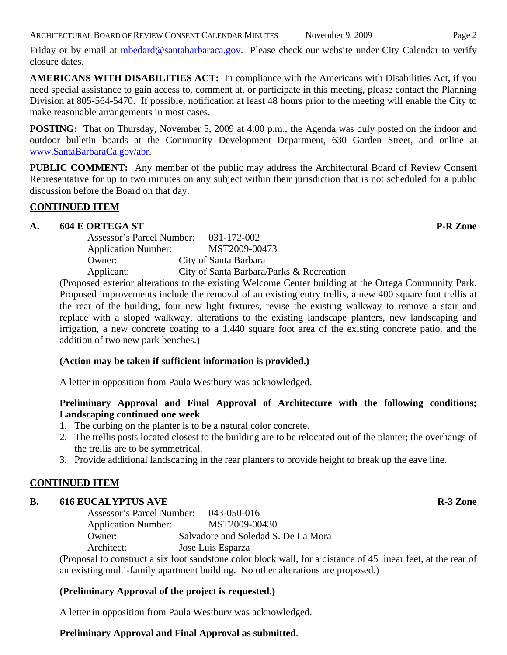Friday or by email at [mbedard@santabarbaraca.gov.](mailto:mbedard@santabarbaraca.gov) Please check our website under City Calendar to verify closure dates.

**AMERICANS WITH DISABILITIES ACT:** In compliance with the Americans with Disabilities Act, if you need special assistance to gain access to, comment at, or participate in this meeting, please contact the Planning Division at 805-564-5470. If possible, notification at least 48 hours prior to the meeting will enable the City to make reasonable arrangements in most cases.

**POSTING:** That on Thursday, November 5, 2009 at 4:00 p.m., the Agenda was duly posted on the indoor and outdoor bulletin boards at the Community Development Department, 630 Garden Street, and online at [www.SantaBarbaraCa.gov/abr](http://www.santabarbaraca.gov/abr).

**PUBLIC COMMENT:** Any member of the public may address the Architectural Board of Review Consent Representative for up to two minutes on any subject within their jurisdiction that is not scheduled for a public discussion before the Board on that day.

# **CONTINUED ITEM**

## A. 604 E ORTEGA ST **P-R** Zone

| Assessor's Parcel Number:  | 031-172-002                              |
|----------------------------|------------------------------------------|
| <b>Application Number:</b> | MST2009-00473                            |
| Owner:                     | City of Santa Barbara                    |
| Applicant:                 | City of Santa Barbara/Parks & Recreation |

(Proposed exterior alterations to the existing Welcome Center building at the Ortega Community Park. Proposed improvements include the removal of an existing entry trellis, a new 400 square foot trellis at the rear of the building, four new light fixtures, revise the existing walkway to remove a stair and replace with a sloped walkway, alterations to the existing landscape planters, new landscaping and irrigation, a new concrete coating to a 1,440 square foot area of the existing concrete patio, and the addition of two new park benches.)

#### **(Action may be taken if sufficient information is provided.)**

A letter in opposition from Paula Westbury was acknowledged.

# **Preliminary Approval and Final Approval of Architecture with the following conditions; Landscaping continued one week**

- 1. The curbing on the planter is to be a natural color concrete.
- 2. The trellis posts located closest to the building are to be relocated out of the planter; the overhangs of the trellis are to be symmetrical.
- 3. Provide additional landscaping in the rear planters to provide height to break up the eave line.

#### **CONTINUED ITEM**

### **B.** 616 EUCALYPTUS AVE **R-3** Zone

Assessor's Parcel Number: 043-050-016 Application Number: MST2009-00430 Owner: Salvadore and Soledad S. De La Mora Architect: Jose Luis Esparza

(Proposal to construct a six foot sandstone color block wall, for a distance of 45 linear feet, at the rear of an existing multi-family apartment building. No other alterations are proposed.)

# **(Preliminary Approval of the project is requested.)**

A letter in opposition from Paula Westbury was acknowledged.

#### **Preliminary Approval and Final Approval as submitted**.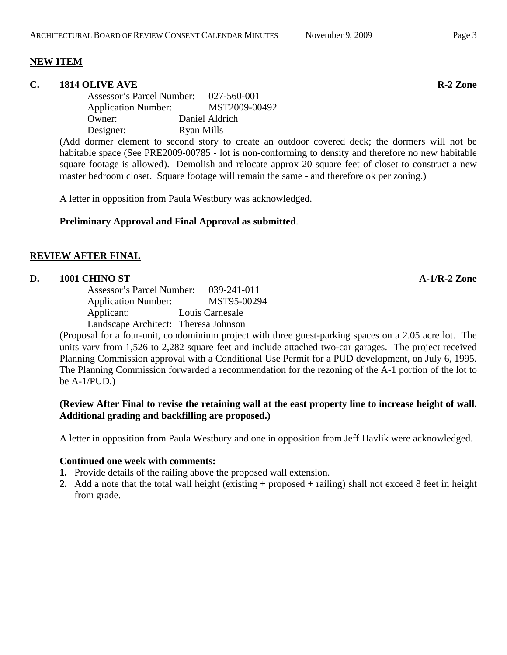#### **NEW ITEM**

#### **C.** 1814 OLIVE AVE **R** 2 Zone

Assessor's Parcel Number: 027-560-001 Application Number: MST2009-00492 Owner: Daniel Aldrich Designer: Ryan Mills

(Add dormer element to second story to create an outdoor covered deck; the dormers will not be habitable space (See PRE2009-00785 - lot is non-conforming to density and therefore no new habitable square footage is allowed). Demolish and relocate approx 20 square feet of closet to construct a new master bedroom closet. Square footage will remain the same - and therefore ok per zoning.)

A letter in opposition from Paula Westbury was acknowledged.

## **Preliminary Approval and Final Approval as submitted**.

#### **REVIEW AFTER FINAL**

## **D. 1001 CHINO ST A-1/R-2 Zone**

Assessor's Parcel Number: 039-241-011 Application Number: MST95-00294 Applicant: Louis Carnesale Landscape Architect: Theresa Johnson

(Proposal for a four-unit, condominium project with three guest-parking spaces on a 2.05 acre lot. The units vary from 1,526 to 2,282 square feet and include attached two-car garages. The project received Planning Commission approval with a Conditional Use Permit for a PUD development, on July 6, 1995. The Planning Commission forwarded a recommendation for the rezoning of the A-1 portion of the lot to be A-1/PUD.)

## **(Review After Final to revise the retaining wall at the east property line to increase height of wall. Additional grading and backfilling are proposed.)**

A letter in opposition from Paula Westbury and one in opposition from Jeff Havlik were acknowledged.

#### **Continued one week with comments:**

- **1.** Provide details of the railing above the proposed wall extension.
- **2.** Add a note that the total wall height (existing + proposed + railing) shall not exceed 8 feet in height from grade.